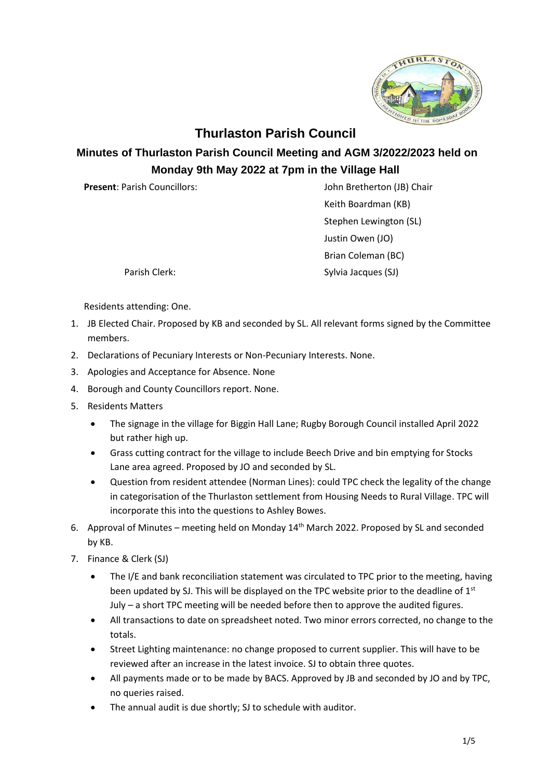

## **Thurlaston Parish Council**

## **Minutes of Thurlaston Parish Council Meeting and AGM 3/2022/2023 held on Monday 9th May 2022 at 7pm in the Village Hall**

**Present**: Parish Councillors: John Bretherton (JB) Chair

Keith Boardman (KB) Stephen Lewington (SL) Justin Owen (JO) Brian Coleman (BC) Parish Clerk: Sylvia Jacques (SJ)

Residents attending: One.

- 1. JB Elected Chair. Proposed by KB and seconded by SL. All relevant forms signed by the Committee members.
- 2. Declarations of Pecuniary Interests or Non-Pecuniary Interests. None.
- 3. Apologies and Acceptance for Absence. None
- 4. Borough and County Councillors report. None.
- 5. Residents Matters
	- The signage in the village for Biggin Hall Lane; Rugby Borough Council installed April 2022 but rather high up.
	- Grass cutting contract for the village to include Beech Drive and bin emptying for Stocks Lane area agreed. Proposed by JO and seconded by SL.
	- Question from resident attendee (Norman Lines): could TPC check the legality of the change in categorisation of the Thurlaston settlement from Housing Needs to Rural Village. TPC will incorporate this into the questions to Ashley Bowes.
- 6. Approval of Minutes meeting held on Monday  $14<sup>th</sup>$  March 2022. Proposed by SL and seconded by KB.
- 7. Finance & Clerk (SJ)
	- The I/E and bank reconciliation statement was circulated to TPC prior to the meeting, having been updated by SJ. This will be displayed on the TPC website prior to the deadline of 1<sup>st</sup> July – a short TPC meeting will be needed before then to approve the audited figures.
	- All transactions to date on spreadsheet noted. Two minor errors corrected, no change to the totals.
	- Street Lighting maintenance: no change proposed to current supplier. This will have to be reviewed after an increase in the latest invoice. SJ to obtain three quotes.
	- All payments made or to be made by BACS. Approved by JB and seconded by JO and by TPC, no queries raised.
	- The annual audit is due shortly; SJ to schedule with auditor.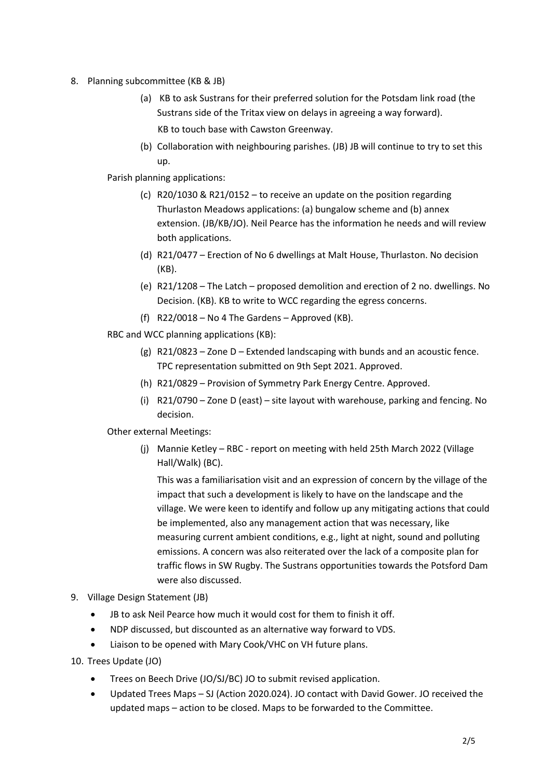- 8. Planning subcommittee (KB & JB)
	- (a) KB to ask Sustrans for their preferred solution for the Potsdam link road (the Sustrans side of the Tritax view on delays in agreeing a way forward). KB to touch base with Cawston Greenway.
	- (b) Collaboration with neighbouring parishes. (JB) JB will continue to try to set this up.

Parish planning applications:

- (c) R20/1030 & R21/0152 to receive an update on the position regarding Thurlaston Meadows applications: (a) bungalow scheme and (b) annex extension. (JB/KB/JO). Neil Pearce has the information he needs and will review both applications.
- (d) R21/0477 Erection of No 6 dwellings at Malt House, Thurlaston. No decision (KB).
- (e) R21/1208 The Latch proposed demolition and erection of 2 no. dwellings. No Decision. (KB). KB to write to WCC regarding the egress concerns.
- (f) R22/0018 No 4 The Gardens Approved (KB).
- RBC and WCC planning applications (KB):
	- (g) R21/0823 Zone D Extended landscaping with bunds and an acoustic fence. TPC representation submitted on 9th Sept 2021. Approved.
	- (h) R21/0829 Provision of Symmetry Park Energy Centre. Approved.
	- (i) R21/0790 Zone D (east) site layout with warehouse, parking and fencing. No decision.

Other external Meetings:

(j) Mannie Ketley – RBC - report on meeting with held 25th March 2022 (Village Hall/Walk) (BC).

This was a familiarisation visit and an expression of concern by the village of the impact that such a development is likely to have on the landscape and the village. We were keen to identify and follow up any mitigating actions that could be implemented, also any management action that was necessary, like measuring current ambient conditions, e.g., light at night, sound and polluting emissions. A concern was also reiterated over the lack of a composite plan for traffic flows in SW Rugby. The Sustrans opportunities towards the Potsford Dam were also discussed.

- 9. Village Design Statement (JB)
	- JB to ask Neil Pearce how much it would cost for them to finish it off.
	- NDP discussed, but discounted as an alternative way forward to VDS.
	- Liaison to be opened with Mary Cook/VHC on VH future plans.
- 10. Trees Update (JO)
	- Trees on Beech Drive (JO/SJ/BC) JO to submit revised application.
	- Updated Trees Maps SJ (Action 2020.024). JO contact with David Gower. JO received the updated maps – action to be closed. Maps to be forwarded to the Committee.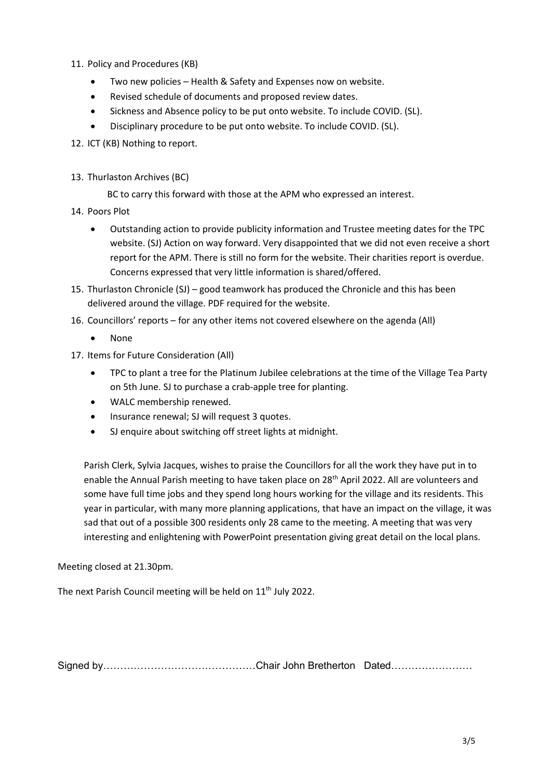- 11. Policy and Procedures (KB)
	- Two new policies Health & Safety and Expenses now on website.
	- Revised schedule of documents and proposed review dates.
	- Sickness and Absence policy to be put onto website. To include COVID. (SL).
	- Disciplinary procedure to be put onto website. To include COVID. (SL).
- 12. ICT (KB) Nothing to report.
- 13. Thurlaston Archives (BC)

BC to carry this forward with those at the APM who expressed an interest.

- 14. Poors Plot
	- Outstanding action to provide publicity information and Trustee meeting dates for the TPC website. (SJ) Action on way forward. Very disappointed that we did not even receive a short report for the APM. There is still no form for the website. Their charities report is overdue. Concerns expressed that very little information is shared/offered.
- 15. Thurlaston Chronicle (SJ) good teamwork has produced the Chronicle and this has been delivered around the village. PDF required for the website.
- 16. Councillors' reports for any other items not covered elsewhere on the agenda (All)
	- None
- 17. Items for Future Consideration (All)
	- TPC to plant a tree for the Platinum Jubilee celebrations at the time of the Village Tea Party on 5th June. SJ to purchase a crab-apple tree for planting.
	- WALC membership renewed.
	- Insurance renewal; SJ will request 3 quotes.
	- SJ enquire about switching off street lights at midnight.

Parish Clerk, Sylvia Jacques, wishes to praise the Councillors for all the work they have put in to enable the Annual Parish meeting to have taken place on 28<sup>th</sup> April 2022. All are volunteers and some have full time jobs and they spend long hours working for the village and its residents. This year in particular, with many more planning applications, that have an impact on the village, it was sad that out of a possible 300 residents only 28 came to the meeting. A meeting that was very interesting and enlightening with PowerPoint presentation giving great detail on the local plans.

Meeting closed at 21.30pm.

The next Parish Council meeting will be held on 11<sup>th</sup> July 2022.

Signed by………………………………………Chair John Bretherton Dated……………………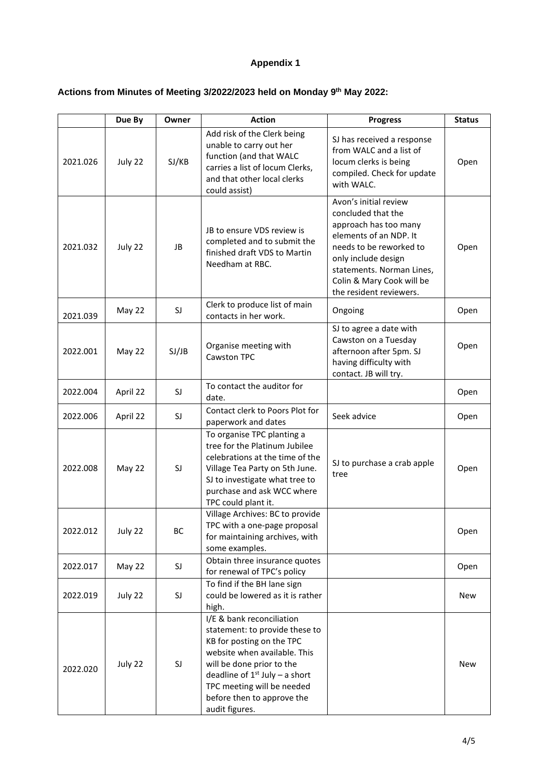## **Appendix 1**

## **Actions from Minutes of Meeting 3/2022/2023 held on Monday 9 th May 2022:**

|          | Due By   | Owner     | <b>Action</b>                                                                                                                                                                                                                                                              | <b>Progress</b>                                                                                                                                                                                                                       | <b>Status</b> |
|----------|----------|-----------|----------------------------------------------------------------------------------------------------------------------------------------------------------------------------------------------------------------------------------------------------------------------------|---------------------------------------------------------------------------------------------------------------------------------------------------------------------------------------------------------------------------------------|---------------|
| 2021.026 | July 22  | SJ/KB     | Add risk of the Clerk being<br>unable to carry out her<br>function (and that WALC<br>carries a list of locum Clerks,<br>and that other local clerks<br>could assist)                                                                                                       | SJ has received a response<br>from WALC and a list of<br>locum clerks is being<br>compiled. Check for update<br>with WALC.                                                                                                            | Open          |
| 2021.032 | July 22  | JB        | JB to ensure VDS review is<br>completed and to submit the<br>finished draft VDS to Martin<br>Needham at RBC.                                                                                                                                                               | Avon's initial review<br>concluded that the<br>approach has too many<br>elements of an NDP. It<br>needs to be reworked to<br>only include design<br>statements. Norman Lines,<br>Colin & Mary Cook will be<br>the resident reviewers. | Open          |
| 2021.039 | May 22   | SJ        | Clerk to produce list of main<br>contacts in her work.                                                                                                                                                                                                                     | Ongoing                                                                                                                                                                                                                               | Open          |
| 2022.001 | May 22   | SJ/JB     | Organise meeting with<br><b>Cawston TPC</b>                                                                                                                                                                                                                                | SJ to agree a date with<br>Cawston on a Tuesday<br>afternoon after 5pm. SJ<br>having difficulty with<br>contact. JB will try.                                                                                                         | Open          |
| 2022.004 | April 22 | SJ        | To contact the auditor for<br>date.                                                                                                                                                                                                                                        |                                                                                                                                                                                                                                       | Open          |
| 2022.006 | April 22 | SJ        | Contact clerk to Poors Plot for<br>paperwork and dates                                                                                                                                                                                                                     | Seek advice                                                                                                                                                                                                                           | Open          |
| 2022.008 | May 22   | <b>SJ</b> | To organise TPC planting a<br>tree for the Platinum Jubilee<br>celebrations at the time of the<br>Village Tea Party on 5th June.<br>SJ to investigate what tree to<br>purchase and ask WCC where<br>TPC could plant it.                                                    | SJ to purchase a crab apple<br>tree                                                                                                                                                                                                   | Open          |
| 2022.012 | July 22  | BC        | Village Archives: BC to provide<br>TPC with a one-page proposal<br>for maintaining archives, with<br>some examples.                                                                                                                                                        |                                                                                                                                                                                                                                       | Open          |
| 2022.017 | May 22   | SJ        | Obtain three insurance quotes<br>for renewal of TPC's policy                                                                                                                                                                                                               |                                                                                                                                                                                                                                       | Open          |
| 2022.019 | July 22  | SJ        | To find if the BH lane sign<br>could be lowered as it is rather<br>high.                                                                                                                                                                                                   |                                                                                                                                                                                                                                       | New           |
| 2022.020 | July 22  | SJ        | I/E & bank reconciliation<br>statement: to provide these to<br>KB for posting on the TPC<br>website when available. This<br>will be done prior to the<br>deadline of $1^{st}$ July – a short<br>TPC meeting will be needed<br>before then to approve the<br>audit figures. |                                                                                                                                                                                                                                       | New           |